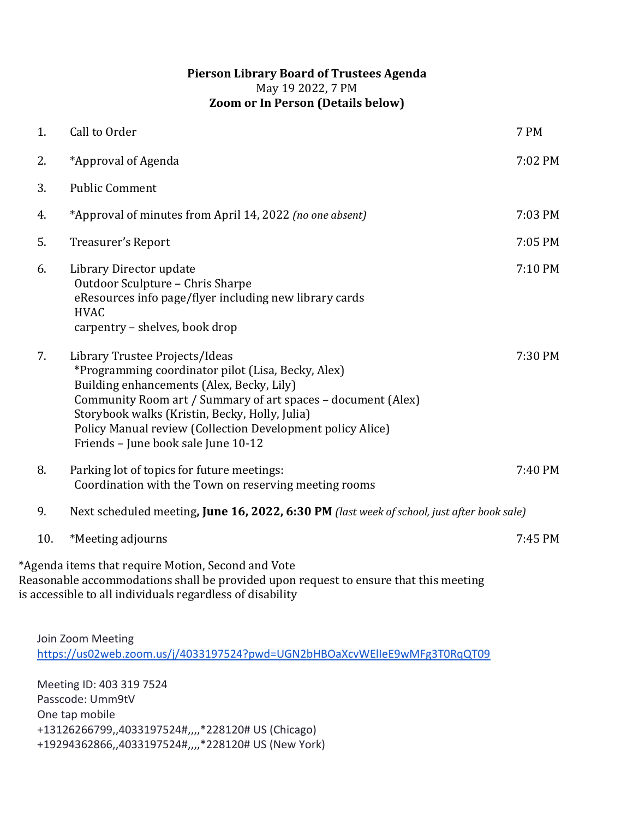## **Pierson Library Board of Trustees Agenda** May 19 2022, 7 PM **Zoom or In Person (Details below)**

| 1.  | Call to Order                                                                                                                                                                                                                                                                                                                                            | 7 PM    |
|-----|----------------------------------------------------------------------------------------------------------------------------------------------------------------------------------------------------------------------------------------------------------------------------------------------------------------------------------------------------------|---------|
| 2.  | *Approval of Agenda                                                                                                                                                                                                                                                                                                                                      | 7:02 PM |
| 3.  | <b>Public Comment</b>                                                                                                                                                                                                                                                                                                                                    |         |
| 4.  | *Approval of minutes from April 14, 2022 (no one absent)                                                                                                                                                                                                                                                                                                 | 7:03 PM |
| 5.  | Treasurer's Report                                                                                                                                                                                                                                                                                                                                       | 7:05 PM |
| 6.  | Library Director update<br>Outdoor Sculpture - Chris Sharpe<br>eResources info page/flyer including new library cards<br><b>HVAC</b><br>carpentry - shelves, book drop                                                                                                                                                                                   | 7:10 PM |
| 7.  | Library Trustee Projects/Ideas<br>*Programming coordinator pilot (Lisa, Becky, Alex)<br>Building enhancements (Alex, Becky, Lily)<br>Community Room art / Summary of art spaces - document (Alex)<br>Storybook walks (Kristin, Becky, Holly, Julia)<br>Policy Manual review (Collection Development policy Alice)<br>Friends - June book sale June 10-12 | 7:30 PM |
| 8.  | Parking lot of topics for future meetings:<br>Coordination with the Town on reserving meeting rooms                                                                                                                                                                                                                                                      | 7:40 PM |
| 9.  | Next scheduled meeting, June 16, 2022, 6:30 PM (last week of school, just after book sale)                                                                                                                                                                                                                                                               |         |
| 10. | *Meeting adjourns                                                                                                                                                                                                                                                                                                                                        | 7:45 PM |
|     | *Agenda items that require Motion, Second and Vote<br>Reasonable accommodations shall be provided upon request to ensure that this meeting<br>is accessible to all individuals regardless of disability                                                                                                                                                  |         |
|     | Join Zoom Meeting<br>https://us02web.zoom.us/j/4033197524?pwd=UGN2bHBOaXcvWElleE9wMFg3T0RqQT09                                                                                                                                                                                                                                                           |         |
|     | Meeting ID: 403 319 7524<br>Passcode: Umm9tV<br>One tap mobile<br>+13126266799,,4033197524#,,,,*228120# US (Chicago)                                                                                                                                                                                                                                     |         |

+19294362866,,4033197524#,,,,\*228120# US (New York)